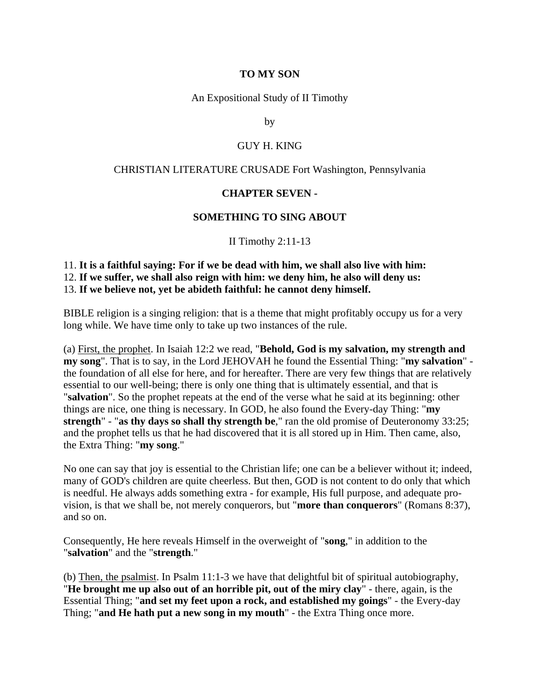## **TO MY SON**

#### An Expositional Study of II Timothy

by

### GUY H. KING

#### CHRISTIAN LITERATURE CRUSADE Fort Washington, Pennsylvania

### **CHAPTER SEVEN -**

#### **SOMETHING TO SING ABOUT**

II Timothy 2:11-13

### 11. **It is a faithful saying: For if we be dead with him, we shall also live with him:**

## 12. **If we suffer, we shall also reign with him: we deny him, he also will deny us:**

#### 13. **If we believe not, yet be abideth faithful: he cannot deny himself.**

BIBLE religion is a singing religion: that is a theme that might profitably occupy us for a very long while. We have time only to take up two instances of the rule.

(a) First, the prophet. In Isaiah 12:2 we read, "**Behold, God is my salvation, my strength and my song**". That is to say, in the Lord JEHOVAH he found the Essential Thing: "**my salvation**" the foundation of all else for here, and for hereafter. There are very few things that are relatively essential to our well-being; there is only one thing that is ultimately essential, and that is "**salvation**". So the prophet repeats at the end of the verse what he said at its beginning: other things are nice, one thing is necessary. In GOD, he also found the Every-day Thing: "**my strength**" - "**as thy days so shall thy strength be**," ran the old promise of Deuteronomy 33:25; and the prophet tells us that he had discovered that it is all stored up in Him. Then came, also, the Extra Thing: "**my song**."

No one can say that joy is essential to the Christian life; one can be a believer without it; indeed, many of GOD's children are quite cheerless. But then, GOD is not content to do only that which is needful. He always adds something extra - for example, His full purpose, and adequate provision, is that we shall be, not merely conquerors, but "**more than conquerors**" (Romans 8:37), and so on.

Consequently, He here reveals Himself in the overweight of "**song**," in addition to the "**salvation**" and the "**strength**."

(b) Then, the psalmist. In Psalm 11:1-3 we have that delightful bit of spiritual autobiography, "**He brought me up also out of an horrible pit, out of the miry clay**" - there, again, is the Essential Thing; "**and set my feet upon a rock, and established my goings**" - the Every-day Thing; "**and He hath put a new song in my mouth**" - the Extra Thing once more.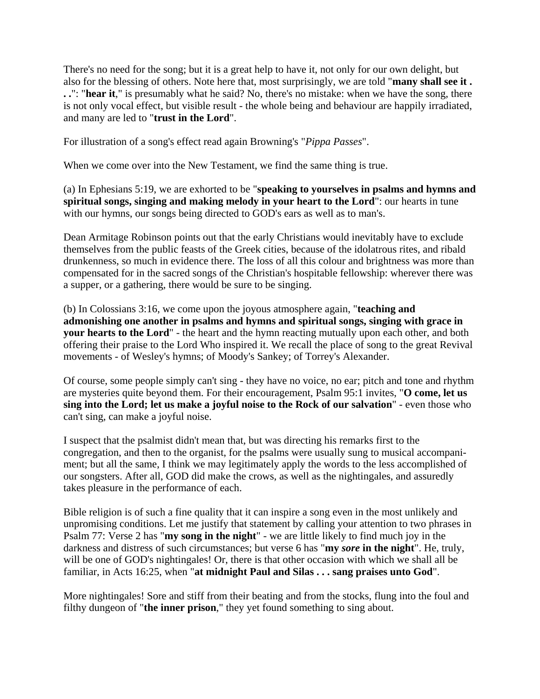There's no need for the song; but it is a great help to have it, not only for our own delight, but also for the blessing of others. Note here that, most surprisingly, we are told "**many shall see it . . .**": "**hear it**," is presumably what he said? No, there's no mistake: when we have the song, there is not only vocal effect, but visible result - the whole being and behaviour are happily irradiated, and many are led to "**trust in the Lord**".

For illustration of a song's effect read again Browning's "*Pippa Passes*".

When we come over into the New Testament, we find the same thing is true.

(a) In Ephesians 5:19, we are exhorted to be "**speaking to yourselves in psalms and hymns and spiritual songs, singing and making melody in your heart to the Lord**": our hearts in tune with our hymns, our songs being directed to GOD's ears as well as to man's.

Dean Armitage Robinson points out that the early Christians would inevitably have to exclude themselves from the public feasts of the Greek cities, because of the idolatrous rites, and ribald drunkenness, so much in evidence there. The loss of all this colour and brightness was more than compensated for in the sacred songs of the Christian's hospitable fellowship: wherever there was a supper, or a gathering, there would be sure to be singing.

(b) In Colossians 3:16, we come upon the joyous atmosphere again, "**teaching and admonishing one another in psalms and hymns and spiritual songs, singing with grace in your hearts to the Lord**" - the heart and the hymn reacting mutually upon each other, and both offering their praise to the Lord Who inspired it. We recall the place of song to the great Revival movements - of Wesley's hymns; of Moody's Sankey; of Torrey's Alexander.

Of course, some people simply can't sing - they have no voice, no ear; pitch and tone and rhythm are mysteries quite beyond them. For their encouragement, Psalm 95:1 invites, "**O come, let us sing into the Lord; let us make a joyful noise to the Rock of our salvation**" - even those who can't sing, can make a joyful noise.

I suspect that the psalmist didn't mean that, but was directing his remarks first to the congregation, and then to the organist, for the psalms were usually sung to musical accompaniment; but all the same, I think we may legitimately apply the words to the less accomplished of our songsters. After all, GOD did make the crows, as well as the nightingales, and assuredly takes pleasure in the performance of each.

Bible religion is of such a fine quality that it can inspire a song even in the most unlikely and unpromising conditions. Let me justify that statement by calling your attention to two phrases in Psalm 77: Verse 2 has "**my song in the night**" - we are little likely to find much joy in the darkness and distress of such circumstances; but verse 6 has "**my** *sore* **in the night**". He, truly, will be one of GOD's nightingales! Or, there is that other occasion with which we shall all be familiar, in Acts 16:25, when "**at midnight Paul and Silas . . . sang praises unto God**".

More nightingales! Sore and stiff from their beating and from the stocks, flung into the foul and filthy dungeon of "**the inner prison**," they yet found something to sing about.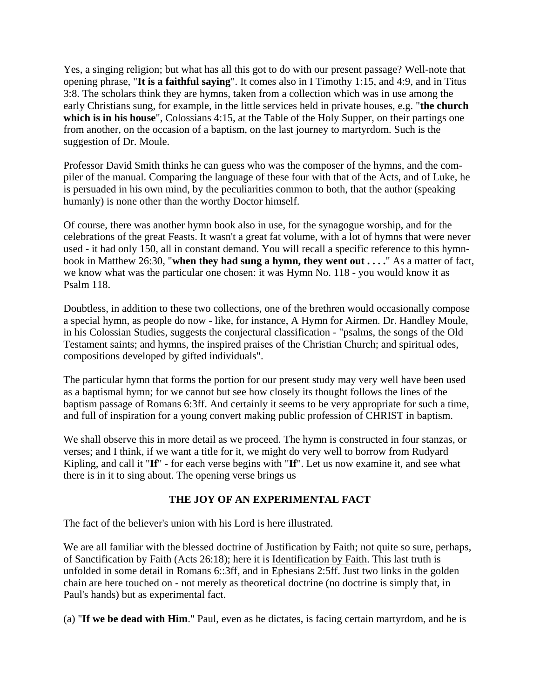Yes, a singing religion; but what has all this got to do with our present passage? Well-note that opening phrase, "**It is a faithful saying**". It comes also in I Timothy 1:15, and 4:9, and in Titus 3:8. The scholars think they are hymns, taken from a collection which was in use among the early Christians sung, for example, in the little services held in private houses, e.g. "**the church**  which is in his house", Colossians 4:15, at the Table of the Holy Supper, on their partings one from another, on the occasion of a baptism, on the last journey to martyrdom. Such is the suggestion of Dr. Moule.

Professor David Smith thinks he can guess who was the composer of the hymns, and the compiler of the manual. Comparing the language of these four with that of the Acts, and of Luke, he is persuaded in his own mind, by the peculiarities common to both, that the author (speaking humanly) is none other than the worthy Doctor himself.

Of course, there was another hymn book also in use, for the synagogue worship, and for the celebrations of the great Feasts. It wasn't a great fat volume, with a lot of hymns that were never used - it had only 150, all in constant demand. You will recall a specific reference to this hymnbook in Matthew 26:30, "**when they had sung a hymn, they went out . . . .**" As a matter of fact, we know what was the particular one chosen: it was Hymn No. 118 - you would know it as Psalm 118.

Doubtless, in addition to these two collections, one of the brethren would occasionally compose a special hymn, as people do now - like, for instance, A Hymn for Airmen. Dr. Handley Moule, in his Colossian Studies, suggests the conjectural classification - "psalms, the songs of the Old Testament saints; and hymns, the inspired praises of the Christian Church; and spiritual odes, compositions developed by gifted individuals".

The particular hymn that forms the portion for our present study may very well have been used as a baptismal hymn; for we cannot but see how closely its thought follows the lines of the baptism passage of Romans 6:3ff. And certainly it seems to be very appropriate for such a time, and full of inspiration for a young convert making public profession of CHRIST in baptism.

We shall observe this in more detail as we proceed. The hymn is constructed in four stanzas, or verses; and I think, if we want a title for it, we might do very well to borrow from Rudyard Kipling, and call it "**If**" - for each verse begins with "**If**". Let us now examine it, and see what there is in it to sing about. The opening verse brings us

# **THE JOY OF AN EXPERIMENTAL FACT**

The fact of the believer's union with his Lord is here illustrated.

We are all familiar with the blessed doctrine of Justification by Faith; not quite so sure, perhaps, of Sanctification by Faith (Acts 26:18); here it is Identification by Faith. This last truth is unfolded in some detail in Romans 6::3ff, and in Ephesians 2:5ff. Just two links in the golden chain are here touched on - not merely as theoretical doctrine (no doctrine is simply that, in Paul's hands) but as experimental fact.

(a) "**If we be dead with Him**." Paul, even as he dictates, is facing certain martyrdom, and he is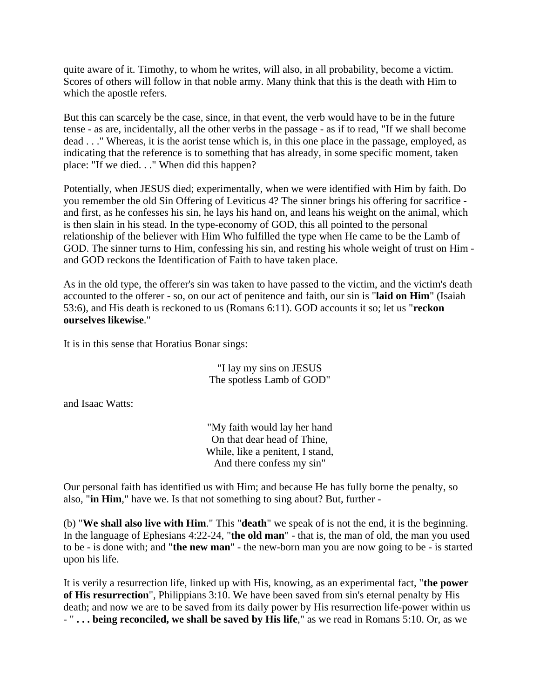quite aware of it. Timothy, to whom he writes, will also, in all probability, become a victim. Scores of others will follow in that noble army. Many think that this is the death with Him to which the apostle refers.

But this can scarcely be the case, since, in that event, the verb would have to be in the future tense - as are, incidentally, all the other verbs in the passage - as if to read, "If we shall become dead . . ." Whereas, it is the aorist tense which is, in this one place in the passage, employed, as indicating that the reference is to something that has already, in some specific moment, taken place: "If we died. . ." When did this happen?

Potentially, when JESUS died; experimentally, when we were identified with Him by faith. Do you remember the old Sin Offering of Leviticus 4? The sinner brings his offering for sacrifice and first, as he confesses his sin, he lays his hand on, and leans his weight on the animal, which is then slain in his stead. In the type-economy of GOD, this all pointed to the personal relationship of the believer with Him Who fulfilled the type when He came to be the Lamb of GOD. The sinner turns to Him, confessing his sin, and resting his whole weight of trust on Him and GOD reckons the Identification of Faith to have taken place.

As in the old type, the offerer's sin was taken to have passed to the victim, and the victim's death accounted to the offerer - so, on our act of penitence and faith, our sin is "**laid on Him**" (Isaiah 53:6), and His death is reckoned to us (Romans 6:11). GOD accounts it so; let us "**reckon ourselves likewise**."

It is in this sense that Horatius Bonar sings:

"I lay my sins on JESUS The spotless Lamb of GOD"

and Isaac Watts:

"My faith would lay her hand On that dear head of Thine, While, like a penitent, I stand, And there confess my sin"

Our personal faith has identified us with Him; and because He has fully borne the penalty, so also, "**in Him**," have we. Is that not something to sing about? But, further -

(b) "**We shall also live with Him**." This "**death**" we speak of is not the end, it is the beginning. In the language of Ephesians 4:22-24, "**the old man**" - that is, the man of old, the man you used to be - is done with; and "**the new man**" - the new-born man you are now going to be - is started upon his life.

It is verily a resurrection life, linked up with His, knowing, as an experimental fact, "**the power of His resurrection**", Philippians 3:10. We have been saved from sin's eternal penalty by His death; and now we are to be saved from its daily power by His resurrection life-power within us - " **. . . being reconciled, we shall be saved by His life**," as we read in Romans 5:10. Or, as we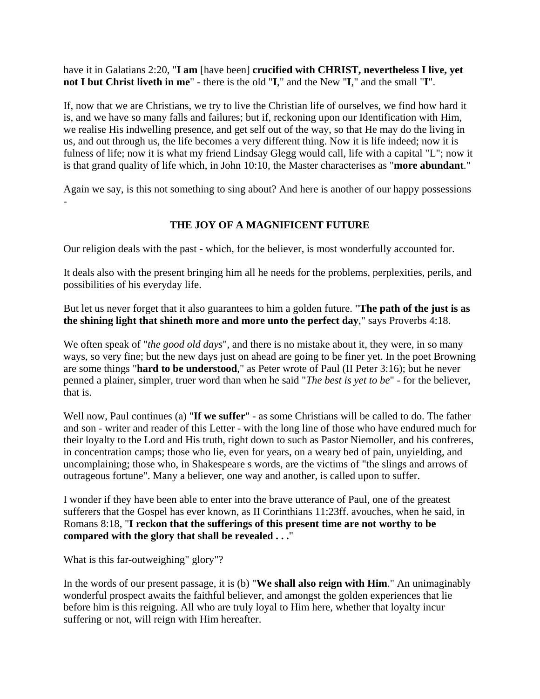have it in Galatians 2:20, "**I am** [have been] **crucified with CHRIST, nevertheless I live, yet not I but Christ liveth in me**" - there is the old "**I**," and the New "**I**," and the small "**I**".

If, now that we are Christians, we try to live the Christian life of ourselves, we find how hard it is, and we have so many falls and failures; but if, reckoning upon our Identification with Him, we realise His indwelling presence, and get self out of the way, so that He may do the living in us, and out through us, the life becomes a very different thing. Now it is life indeed; now it is fulness of life; now it is what my friend Lindsay Glegg would call, life with a capital "L"; now it is that grand quality of life which, in John 10:10, the Master characterises as "**more abundant**."

Again we say, is this not something to sing about? And here is another of our happy possessions -

## **THE JOY OF A MAGNIFICENT FUTURE**

Our religion deals with the past - which, for the believer, is most wonderfully accounted for.

It deals also with the present bringing him all he needs for the problems, perplexities, perils, and possibilities of his everyday life.

But let us never forget that it also guarantees to him a golden future. "**The path of the just is as the shining light that shineth more and more unto the perfect day**," says Proverbs 4:18.

We often speak of "*the good old days*", and there is no mistake about it, they were, in so many ways, so very fine; but the new days just on ahead are going to be finer yet. In the poet Browning are some things "**hard to be understood**," as Peter wrote of Paul (II Peter 3:16); but he never penned a plainer, simpler, truer word than when he said "*The best is yet to be*" - for the believer, that is.

Well now, Paul continues (a) "**If we suffer**" - as some Christians will be called to do. The father and son - writer and reader of this Letter - with the long line of those who have endured much for their loyalty to the Lord and His truth, right down to such as Pastor Niemoller, and his confreres, in concentration camps; those who lie, even for years, on a weary bed of pain, unyielding, and uncomplaining; those who, in Shakespeare s words, are the victims of "the slings and arrows of outrageous fortune". Many a believer, one way and another, is called upon to suffer.

I wonder if they have been able to enter into the brave utterance of Paul, one of the greatest sufferers that the Gospel has ever known, as II Corinthians 11:23ff. avouches, when he said, in Romans 8:18, "**I reckon that the sufferings of this present time are not worthy to be compared with the glory that shall be revealed . . .**"

What is this far-outweighing" glory"?

In the words of our present passage, it is (b) "**We shall also reign with Him**." An unimaginably wonderful prospect awaits the faithful believer, and amongst the golden experiences that lie before him is this reigning. All who are truly loyal to Him here, whether that loyalty incur suffering or not, will reign with Him hereafter.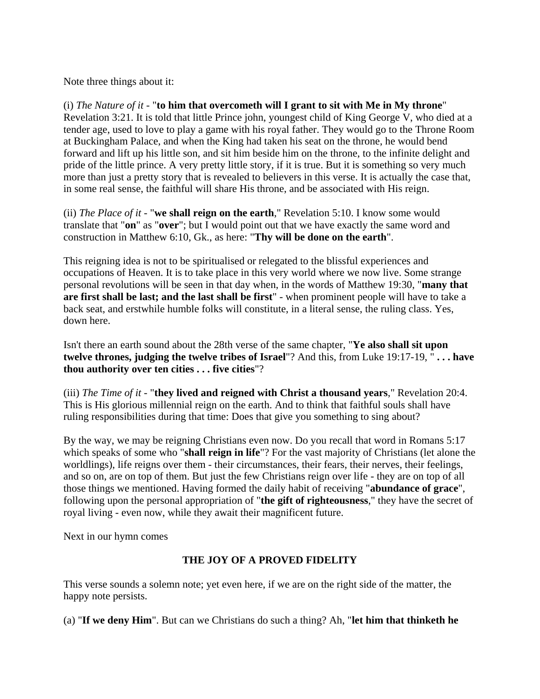Note three things about it:

(i) *The Nature of it* - "**to him that overcometh will I grant to sit with Me in My throne**" Revelation 3:21. It is told that little Prince john, youngest child of King George V, who died at a tender age, used to love to play a game with his royal father. They would go to the Throne Room at Buckingham Palace, and when the King had taken his seat on the throne, he would bend forward and lift up his little son, and sit him beside him on the throne, to the infinite delight and pride of the little prince. A very pretty little story, if it is true. But it is something so very much more than just a pretty story that is revealed to believers in this verse. It is actually the case that, in some real sense, the faithful will share His throne, and be associated with His reign.

(ii) *The Place of it* - "**we shall reign on the earth**," Revelation 5:10. I know some would translate that "**on**" as "**over**"; but I would point out that we have exactly the same word and construction in Matthew 6:10, Gk., as here: "**Thy will be done on the earth**".

This reigning idea is not to be spiritualised or relegated to the blissful experiences and occupations of Heaven. It is to take place in this very world where we now live. Some strange personal revolutions will be seen in that day when, in the words of Matthew 19:30, "**many that are first shall be last; and the last shall be first**" - when prominent people will have to take a back seat, and erstwhile humble folks will constitute, in a literal sense, the ruling class. Yes, down here.

Isn't there an earth sound about the 28th verse of the same chapter, "**Ye also shall sit upon twelve thrones, judging the twelve tribes of Israel**"? And this, from Luke 19:17-19, " **. . . have thou authority over ten cities . . . five cities**"?

(iii) *The Time of it* - "**they lived and reigned with Christ a thousand years**," Revelation 20:4. This is His glorious millennial reign on the earth. And to think that faithful souls shall have ruling responsibilities during that time: Does that give you something to sing about?

By the way, we may be reigning Christians even now. Do you recall that word in Romans 5:17 which speaks of some who "**shall reign in life**"? For the vast majority of Christians (let alone the worldlings), life reigns over them - their circumstances, their fears, their nerves, their feelings, and so on, are on top of them. But just the few Christians reign over life - they are on top of all those things we mentioned. Having formed the daily habit of receiving "**abundance of grace**", following upon the personal appropriation of "**the gift of righteousness**," they have the secret of royal living - even now, while they await their magnificent future.

Next in our hymn comes

# **THE JOY OF A PROVED FIDELITY**

This verse sounds a solemn note; yet even here, if we are on the right side of the matter, the happy note persists.

(a) "**If we deny Him**". But can we Christians do such a thing? Ah, "**let him that thinketh he**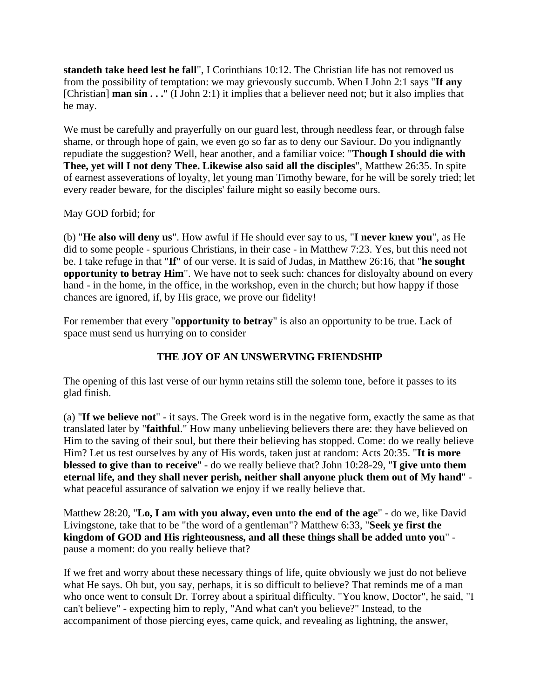**standeth take heed lest he fall**", I Corinthians 10:12. The Christian life has not removed us from the possibility of temptation: we may grievously succumb. When I John 2:1 says "**If any** [Christian] **man sin . . .**" (I John 2:1) it implies that a believer need not; but it also implies that he may.

We must be carefully and prayerfully on our guard lest, through needless fear, or through false shame, or through hope of gain, we even go so far as to deny our Saviour. Do you indignantly repudiate the suggestion? Well, hear another, and a familiar voice: "**Though I should die with Thee, yet will I not deny Thee. Likewise also said all the disciples**", Matthew 26:35. In spite of earnest asseverations of loyalty, let young man Timothy beware, for he will be sorely tried; let every reader beware, for the disciples' failure might so easily become ours.

## May GOD forbid; for

(b) "**He also will deny us**". How awful if He should ever say to us, "**I never knew you**", as He did to some people - spurious Christians, in their case - in Matthew 7:23. Yes, but this need not be. I take refuge in that "**If**" of our verse. It is said of Judas, in Matthew 26:16, that "**he sought opportunity to betray Him**". We have not to seek such: chances for disloyalty abound on every hand - in the home, in the office, in the workshop, even in the church; but how happy if those chances are ignored, if, by His grace, we prove our fidelity!

For remember that every "**opportunity to betray**" is also an opportunity to be true. Lack of space must send us hurrying on to consider

# **THE JOY OF AN UNSWERVING FRIENDSHIP**

The opening of this last verse of our hymn retains still the solemn tone, before it passes to its glad finish.

(a) "**If we believe not**" - it says. The Greek word is in the negative form, exactly the same as that translated later by "**faithful**." How many unbelieving believers there are: they have believed on Him to the saving of their soul, but there their believing has stopped. Come: do we really believe Him? Let us test ourselves by any of His words, taken just at random: Acts 20:35. "**It is more blessed to give than to receive**" - do we really believe that? John 10:28-29, "**I give unto them eternal life, and they shall never perish, neither shall anyone pluck them out of My hand**" what peaceful assurance of salvation we enjoy if we really believe that.

Matthew 28:20, "**Lo, I am with you alway, even unto the end of the age**" - do we, like David Livingstone, take that to be "the word of a gentleman"? Matthew 6:33, "**Seek ye first the kingdom of GOD and His righteousness, and all these things shall be added unto you**" pause a moment: do you really believe that?

If we fret and worry about these necessary things of life, quite obviously we just do not believe what He says. Oh but, you say, perhaps, it is so difficult to believe? That reminds me of a man who once went to consult Dr. Torrey about a spiritual difficulty. "You know, Doctor", he said, "I can't believe" - expecting him to reply, "And what can't you believe?" Instead, to the accompaniment of those piercing eyes, came quick, and revealing as lightning, the answer,